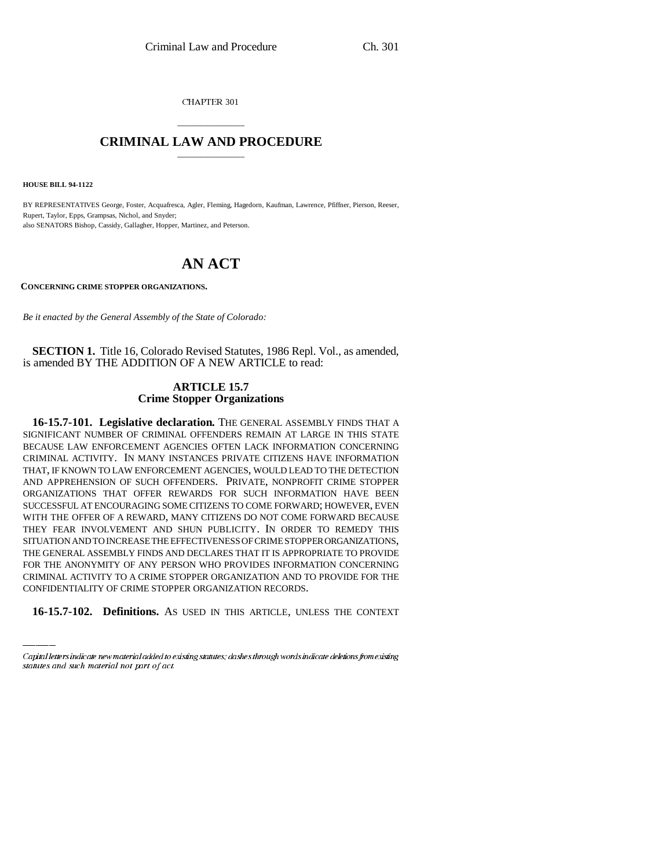CHAPTER 301

## \_\_\_\_\_\_\_\_\_\_\_\_\_\_\_ **CRIMINAL LAW AND PROCEDURE** \_\_\_\_\_\_\_\_\_\_\_\_\_\_\_

**HOUSE BILL 94-1122**

BY REPRESENTATIVES George, Foster, Acquafresca, Agler, Fleming, Hagedorn, Kaufman, Lawrence, Pfiffner, Pierson, Reeser, Rupert, Taylor, Epps, Grampsas, Nichol, and Snyder; also SENATORS Bishop, Cassidy, Gallagher, Hopper, Martinez, and Peterson.

## **AN ACT**

**CONCERNING CRIME STOPPER ORGANIZATIONS.**

*Be it enacted by the General Assembly of the State of Colorado:*

**SECTION 1.** Title 16, Colorado Revised Statutes, 1986 Repl. Vol., as amended, is amended BY THE ADDITION OF A NEW ARTICLE to read:

## **ARTICLE 15.7 Crime Stopper Organizations**

FOR THE ANONYMITY OF ANY PERSON WHO PROVIDES INFORMATION CONCERNING **16-15.7-101. Legislative declaration.** THE GENERAL ASSEMBLY FINDS THAT A SIGNIFICANT NUMBER OF CRIMINAL OFFENDERS REMAIN AT LARGE IN THIS STATE BECAUSE LAW ENFORCEMENT AGENCIES OFTEN LACK INFORMATION CONCERNING CRIMINAL ACTIVITY. IN MANY INSTANCES PRIVATE CITIZENS HAVE INFORMATION THAT, IF KNOWN TO LAW ENFORCEMENT AGENCIES, WOULD LEAD TO THE DETECTION AND APPREHENSION OF SUCH OFFENDERS. PRIVATE, NONPROFIT CRIME STOPPER ORGANIZATIONS THAT OFFER REWARDS FOR SUCH INFORMATION HAVE BEEN SUCCESSFUL AT ENCOURAGING SOME CITIZENS TO COME FORWARD; HOWEVER, EVEN WITH THE OFFER OF A REWARD, MANY CITIZENS DO NOT COME FORWARD BECAUSE THEY FEAR INVOLVEMENT AND SHUN PUBLICITY. IN ORDER TO REMEDY THIS SITUATION AND TO INCREASE THE EFFECTIVENESS OF CRIME STOPPER ORGANIZATIONS, THE GENERAL ASSEMBLY FINDS AND DECLARES THAT IT IS APPROPRIATE TO PROVIDE CRIMINAL ACTIVITY TO A CRIME STOPPER ORGANIZATION AND TO PROVIDE FOR THE CONFIDENTIALITY OF CRIME STOPPER ORGANIZATION RECORDS.

**16-15.7-102. Definitions.** AS USED IN THIS ARTICLE, UNLESS THE CONTEXT

Capital letters indicate new material added to existing statutes; dashes through words indicate deletions from existing statutes and such material not part of act.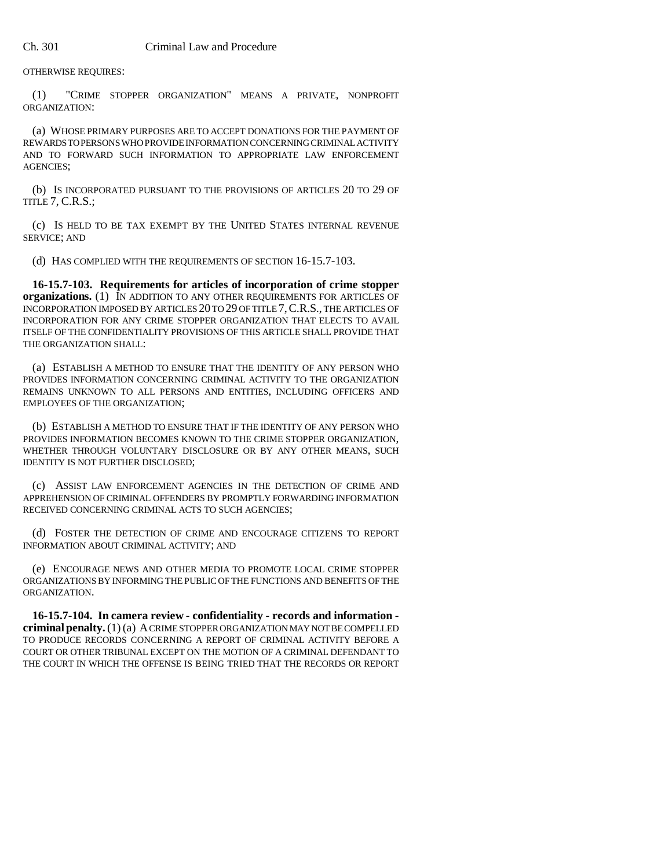OTHERWISE REQUIRES:

(1) "CRIME STOPPER ORGANIZATION" MEANS A PRIVATE, NONPROFIT ORGANIZATION:

(a) WHOSE PRIMARY PURPOSES ARE TO ACCEPT DONATIONS FOR THE PAYMENT OF REWARDS TO PERSONS WHO PROVIDE INFORMATION CONCERNING CRIMINAL ACTIVITY AND TO FORWARD SUCH INFORMATION TO APPROPRIATE LAW ENFORCEMENT AGENCIES;

(b) IS INCORPORATED PURSUANT TO THE PROVISIONS OF ARTICLES 20 TO 29 OF TITLE 7, C.R.S.;

(c) IS HELD TO BE TAX EXEMPT BY THE UNITED STATES INTERNAL REVENUE SERVICE; AND

(d) HAS COMPLIED WITH THE REQUIREMENTS OF SECTION 16-15.7-103.

**16-15.7-103. Requirements for articles of incorporation of crime stopper organizations.** (1) IN ADDITION TO ANY OTHER REQUIREMENTS FOR ARTICLES OF INCORPORATION IMPOSED BY ARTICLES 20 TO 29 OF TITLE 7,C.R.S., THE ARTICLES OF INCORPORATION FOR ANY CRIME STOPPER ORGANIZATION THAT ELECTS TO AVAIL ITSELF OF THE CONFIDENTIALITY PROVISIONS OF THIS ARTICLE SHALL PROVIDE THAT THE ORGANIZATION SHALL:

(a) ESTABLISH A METHOD TO ENSURE THAT THE IDENTITY OF ANY PERSON WHO PROVIDES INFORMATION CONCERNING CRIMINAL ACTIVITY TO THE ORGANIZATION REMAINS UNKNOWN TO ALL PERSONS AND ENTITIES, INCLUDING OFFICERS AND EMPLOYEES OF THE ORGANIZATION;

(b) ESTABLISH A METHOD TO ENSURE THAT IF THE IDENTITY OF ANY PERSON WHO PROVIDES INFORMATION BECOMES KNOWN TO THE CRIME STOPPER ORGANIZATION, WHETHER THROUGH VOLUNTARY DISCLOSURE OR BY ANY OTHER MEANS, SUCH IDENTITY IS NOT FURTHER DISCLOSED;

(c) ASSIST LAW ENFORCEMENT AGENCIES IN THE DETECTION OF CRIME AND APPREHENSION OF CRIMINAL OFFENDERS BY PROMPTLY FORWARDING INFORMATION RECEIVED CONCERNING CRIMINAL ACTS TO SUCH AGENCIES;

(d) FOSTER THE DETECTION OF CRIME AND ENCOURAGE CITIZENS TO REPORT INFORMATION ABOUT CRIMINAL ACTIVITY; AND

(e) ENCOURAGE NEWS AND OTHER MEDIA TO PROMOTE LOCAL CRIME STOPPER ORGANIZATIONS BY INFORMING THE PUBLIC OF THE FUNCTIONS AND BENEFITS OF THE ORGANIZATION.

**16-15.7-104. In camera review - confidentiality - records and information criminal penalty.** (1) (a) A CRIME STOPPER ORGANIZATION MAY NOT BE COMPELLED TO PRODUCE RECORDS CONCERNING A REPORT OF CRIMINAL ACTIVITY BEFORE A COURT OR OTHER TRIBUNAL EXCEPT ON THE MOTION OF A CRIMINAL DEFENDANT TO THE COURT IN WHICH THE OFFENSE IS BEING TRIED THAT THE RECORDS OR REPORT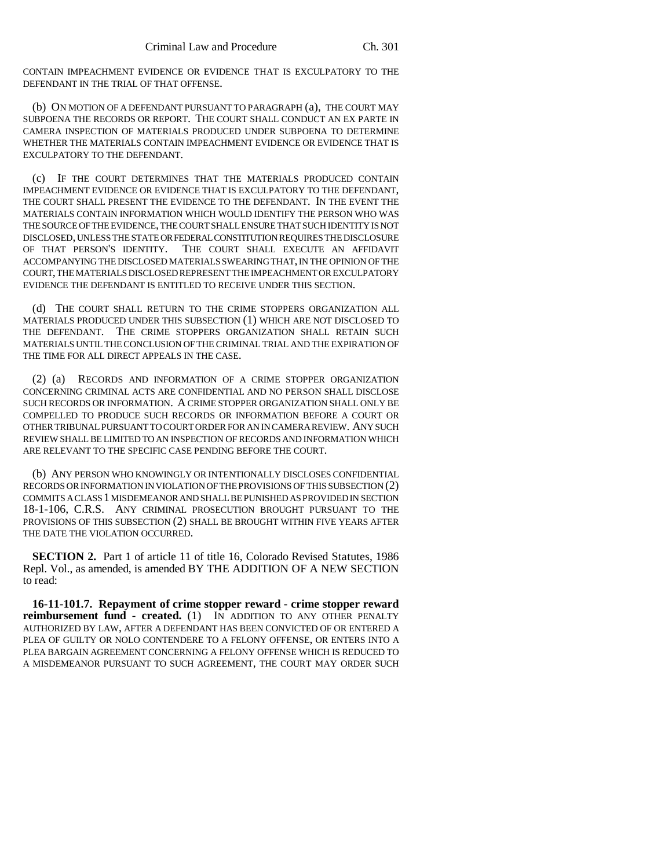CONTAIN IMPEACHMENT EVIDENCE OR EVIDENCE THAT IS EXCULPATORY TO THE DEFENDANT IN THE TRIAL OF THAT OFFENSE.

(b) ON MOTION OF A DEFENDANT PURSUANT TO PARAGRAPH (a), THE COURT MAY SUBPOENA THE RECORDS OR REPORT. THE COURT SHALL CONDUCT AN EX PARTE IN CAMERA INSPECTION OF MATERIALS PRODUCED UNDER SUBPOENA TO DETERMINE WHETHER THE MATERIALS CONTAIN IMPEACHMENT EVIDENCE OR EVIDENCE THAT IS EXCULPATORY TO THE DEFENDANT.

(c) IF THE COURT DETERMINES THAT THE MATERIALS PRODUCED CONTAIN IMPEACHMENT EVIDENCE OR EVIDENCE THAT IS EXCULPATORY TO THE DEFENDANT, THE COURT SHALL PRESENT THE EVIDENCE TO THE DEFENDANT. IN THE EVENT THE MATERIALS CONTAIN INFORMATION WHICH WOULD IDENTIFY THE PERSON WHO WAS THE SOURCE OF THE EVIDENCE, THE COURT SHALL ENSURE THAT SUCH IDENTITY IS NOT DISCLOSED, UNLESS THE STATE OR FEDERAL CONSTITUTION REQUIRES THE DISCLOSURE OF THAT PERSON'S IDENTITY. THE COURT SHALL EXECUTE AN AFFIDAVIT ACCOMPANYING THE DISCLOSED MATERIALS SWEARING THAT, IN THE OPINION OF THE COURT, THE MATERIALS DISCLOSED REPRESENT THE IMPEACHMENT OR EXCULPATORY EVIDENCE THE DEFENDANT IS ENTITLED TO RECEIVE UNDER THIS SECTION.

(d) THE COURT SHALL RETURN TO THE CRIME STOPPERS ORGANIZATION ALL MATERIALS PRODUCED UNDER THIS SUBSECTION (1) WHICH ARE NOT DISCLOSED TO THE DEFENDANT. THE CRIME STOPPERS ORGANIZATION SHALL RETAIN SUCH MATERIALS UNTIL THE CONCLUSION OF THE CRIMINAL TRIAL AND THE EXPIRATION OF THE TIME FOR ALL DIRECT APPEALS IN THE CASE.

(2) (a) RECORDS AND INFORMATION OF A CRIME STOPPER ORGANIZATION CONCERNING CRIMINAL ACTS ARE CONFIDENTIAL AND NO PERSON SHALL DISCLOSE SUCH RECORDS OR INFORMATION. A CRIME STOPPER ORGANIZATION SHALL ONLY BE COMPELLED TO PRODUCE SUCH RECORDS OR INFORMATION BEFORE A COURT OR OTHER TRIBUNAL PURSUANT TO COURT ORDER FOR AN IN CAMERA REVIEW. ANY SUCH REVIEW SHALL BE LIMITED TO AN INSPECTION OF RECORDS AND INFORMATION WHICH ARE RELEVANT TO THE SPECIFIC CASE PENDING BEFORE THE COURT.

(b) ANY PERSON WHO KNOWINGLY OR INTENTIONALLY DISCLOSES CONFIDENTIAL RECORDS OR INFORMATION IN VIOLATION OF THE PROVISIONS OF THIS SUBSECTION (2) COMMITS A CLASS 1 MISDEMEANOR AND SHALL BE PUNISHED AS PROVIDED IN SECTION 18-1-106, C.R.S. ANY CRIMINAL PROSECUTION BROUGHT PURSUANT TO THE PROVISIONS OF THIS SUBSECTION (2) SHALL BE BROUGHT WITHIN FIVE YEARS AFTER THE DATE THE VIOLATION OCCURRED.

**SECTION 2.** Part 1 of article 11 of title 16, Colorado Revised Statutes, 1986 Repl. Vol., as amended, is amended BY THE ADDITION OF A NEW SECTION to read:

**16-11-101.7. Repayment of crime stopper reward - crime stopper reward reimbursement fund - created.** (1) IN ADDITION TO ANY OTHER PENALTY AUTHORIZED BY LAW, AFTER A DEFENDANT HAS BEEN CONVICTED OF OR ENTERED A PLEA OF GUILTY OR NOLO CONTENDERE TO A FELONY OFFENSE, OR ENTERS INTO A PLEA BARGAIN AGREEMENT CONCERNING A FELONY OFFENSE WHICH IS REDUCED TO A MISDEMEANOR PURSUANT TO SUCH AGREEMENT, THE COURT MAY ORDER SUCH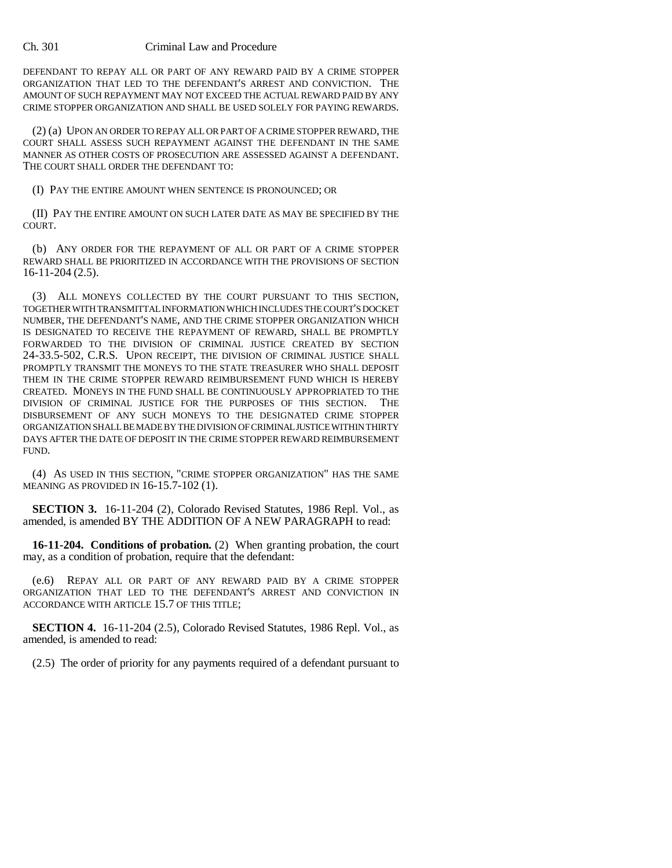## Ch. 301 Criminal Law and Procedure

DEFENDANT TO REPAY ALL OR PART OF ANY REWARD PAID BY A CRIME STOPPER ORGANIZATION THAT LED TO THE DEFENDANT'S ARREST AND CONVICTION. THE AMOUNT OF SUCH REPAYMENT MAY NOT EXCEED THE ACTUAL REWARD PAID BY ANY CRIME STOPPER ORGANIZATION AND SHALL BE USED SOLELY FOR PAYING REWARDS.

(2) (a) UPON AN ORDER TO REPAY ALL OR PART OF A CRIME STOPPER REWARD, THE COURT SHALL ASSESS SUCH REPAYMENT AGAINST THE DEFENDANT IN THE SAME MANNER AS OTHER COSTS OF PROSECUTION ARE ASSESSED AGAINST A DEFENDANT. THE COURT SHALL ORDER THE DEFENDANT TO:

(I) PAY THE ENTIRE AMOUNT WHEN SENTENCE IS PRONOUNCED; OR

(II) PAY THE ENTIRE AMOUNT ON SUCH LATER DATE AS MAY BE SPECIFIED BY THE COURT.

(b) ANY ORDER FOR THE REPAYMENT OF ALL OR PART OF A CRIME STOPPER REWARD SHALL BE PRIORITIZED IN ACCORDANCE WITH THE PROVISIONS OF SECTION 16-11-204 (2.5).

(3) ALL MONEYS COLLECTED BY THE COURT PURSUANT TO THIS SECTION, TOGETHER WITH TRANSMITTAL INFORMATION WHICH INCLUDES THE COURT'S DOCKET NUMBER, THE DEFENDANT'S NAME, AND THE CRIME STOPPER ORGANIZATION WHICH IS DESIGNATED TO RECEIVE THE REPAYMENT OF REWARD, SHALL BE PROMPTLY FORWARDED TO THE DIVISION OF CRIMINAL JUSTICE CREATED BY SECTION 24-33.5-502, C.R.S. UPON RECEIPT, THE DIVISION OF CRIMINAL JUSTICE SHALL PROMPTLY TRANSMIT THE MONEYS TO THE STATE TREASURER WHO SHALL DEPOSIT THEM IN THE CRIME STOPPER REWARD REIMBURSEMENT FUND WHICH IS HEREBY CREATED. MONEYS IN THE FUND SHALL BE CONTINUOUSLY APPROPRIATED TO THE DIVISION OF CRIMINAL JUSTICE FOR THE PURPOSES OF THIS SECTION. THE DISBURSEMENT OF ANY SUCH MONEYS TO THE DESIGNATED CRIME STOPPER ORGANIZATION SHALL BE MADE BY THE DIVISION OF CRIMINAL JUSTICE WITHIN THIRTY DAYS AFTER THE DATE OF DEPOSIT IN THE CRIME STOPPER REWARD REIMBURSEMENT FUND.

(4) AS USED IN THIS SECTION, "CRIME STOPPER ORGANIZATION" HAS THE SAME MEANING AS PROVIDED IN 16-15.7-102 (1).

**SECTION 3.** 16-11-204 (2), Colorado Revised Statutes, 1986 Repl. Vol., as amended, is amended BY THE ADDITION OF A NEW PARAGRAPH to read:

**16-11-204. Conditions of probation.** (2) When granting probation, the court may, as a condition of probation, require that the defendant:

(e.6) REPAY ALL OR PART OF ANY REWARD PAID BY A CRIME STOPPER ORGANIZATION THAT LED TO THE DEFENDANT'S ARREST AND CONVICTION IN ACCORDANCE WITH ARTICLE 15.7 OF THIS TITLE;

**SECTION 4.** 16-11-204 (2.5), Colorado Revised Statutes, 1986 Repl. Vol., as amended, is amended to read:

(2.5) The order of priority for any payments required of a defendant pursuant to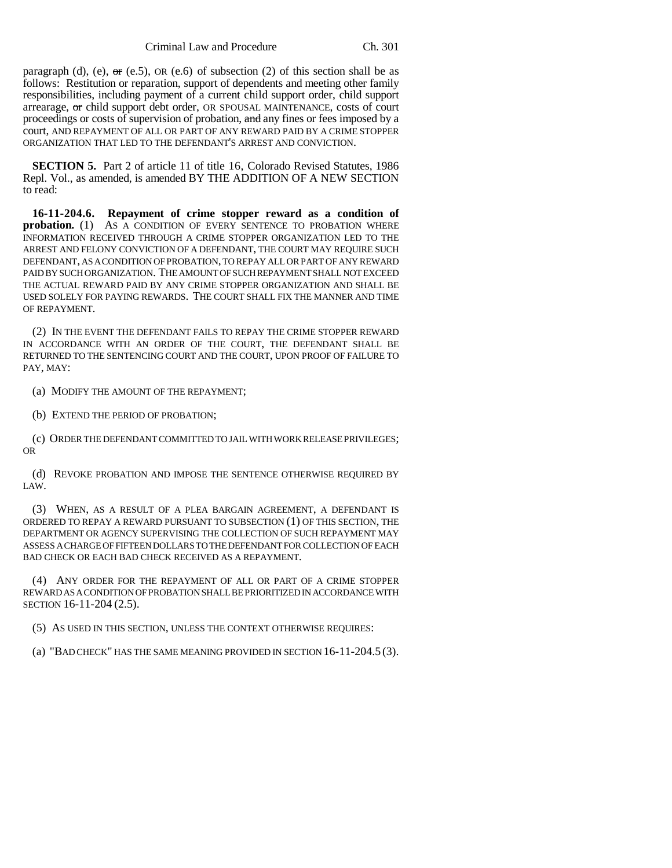paragraph (d), (e),  $\sigma$  (e.5), OR (e.6) of subsection (2) of this section shall be as follows: Restitution or reparation, support of dependents and meeting other family responsibilities, including payment of a current child support order, child support arrearage, or child support debt order, OR SPOUSAL MAINTENANCE, costs of court proceedings or costs of supervision of probation, and any fines or fees imposed by a court, AND REPAYMENT OF ALL OR PART OF ANY REWARD PAID BY A CRIME STOPPER ORGANIZATION THAT LED TO THE DEFENDANT'S ARREST AND CONVICTION.

**SECTION 5.** Part 2 of article 11 of title 16, Colorado Revised Statutes, 1986 Repl. Vol., as amended, is amended BY THE ADDITION OF A NEW SECTION to read:

**16-11-204.6. Repayment of crime stopper reward as a condition of probation.** (1) AS A CONDITION OF EVERY SENTENCE TO PROBATION WHERE INFORMATION RECEIVED THROUGH A CRIME STOPPER ORGANIZATION LED TO THE ARREST AND FELONY CONVICTION OF A DEFENDANT, THE COURT MAY REQUIRE SUCH DEFENDANT, AS A CONDITION OF PROBATION, TO REPAY ALL OR PART OF ANY REWARD PAID BY SUCH ORGANIZATION. THE AMOUNT OF SUCH REPAYMENT SHALL NOT EXCEED THE ACTUAL REWARD PAID BY ANY CRIME STOPPER ORGANIZATION AND SHALL BE USED SOLELY FOR PAYING REWARDS. THE COURT SHALL FIX THE MANNER AND TIME OF REPAYMENT.

(2) IN THE EVENT THE DEFENDANT FAILS TO REPAY THE CRIME STOPPER REWARD IN ACCORDANCE WITH AN ORDER OF THE COURT, THE DEFENDANT SHALL BE RETURNED TO THE SENTENCING COURT AND THE COURT, UPON PROOF OF FAILURE TO PAY, MAY:

(a) MODIFY THE AMOUNT OF THE REPAYMENT;

(b) EXTEND THE PERIOD OF PROBATION;

(c) ORDER THE DEFENDANT COMMITTED TO JAIL WITH WORK RELEASE PRIVILEGES; OR

(d) REVOKE PROBATION AND IMPOSE THE SENTENCE OTHERWISE REQUIRED BY LAW.

(3) WHEN, AS A RESULT OF A PLEA BARGAIN AGREEMENT, A DEFENDANT IS ORDERED TO REPAY A REWARD PURSUANT TO SUBSECTION (1) OF THIS SECTION, THE DEPARTMENT OR AGENCY SUPERVISING THE COLLECTION OF SUCH REPAYMENT MAY ASSESS A CHARGE OF FIFTEEN DOLLARS TO THE DEFENDANT FOR COLLECTION OF EACH BAD CHECK OR EACH BAD CHECK RECEIVED AS A REPAYMENT.

(4) ANY ORDER FOR THE REPAYMENT OF ALL OR PART OF A CRIME STOPPER REWARD AS A CONDITION OF PROBATION SHALL BE PRIORITIZED IN ACCORDANCE WITH SECTION 16-11-204 (2.5).

(5) AS USED IN THIS SECTION, UNLESS THE CONTEXT OTHERWISE REQUIRES:

(a) "BAD CHECK" HAS THE SAME MEANING PROVIDED IN SECTION 16-11-204.5 (3).